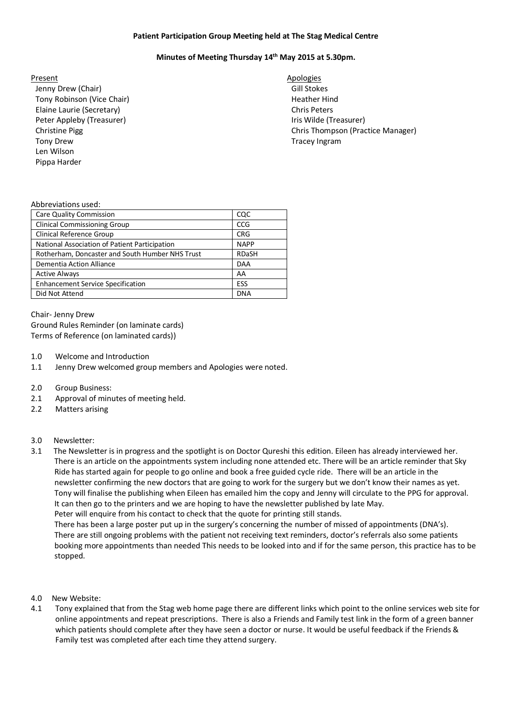# **Patient Participation Group Meeting held at The Stag Medical Centre**

# **Minutes of Meeting Thursday 14th May 2015 at 5.30pm.**

### Present Apologies **Apologies**

Jenny Drew (Chair) Gill Stokes Tony Robinson (Vice Chair) **Heather Hind** Elaine Laurie (Secretary) Chris Peters Peter Appleby (Treasurer) The Communication of the Unit of the Unit of the Unit of the Unit of the Unit of the U Tony Drew Tracey Ingram Tracey Ingram Len Wilson Pippa Harder

Christine Pigg Chris Thompson (Practice Manager) Chris Thompson (Practice Manager)

### Abbreviations used:

| <b>Care Quality Commission</b>                  | CQC          |
|-------------------------------------------------|--------------|
| <b>Clinical Commissioning Group</b>             | <b>CCG</b>   |
| Clinical Reference Group                        | <b>CRG</b>   |
| National Association of Patient Participation   | <b>NAPP</b>  |
| Rotherham, Doncaster and South Humber NHS Trust | <b>RDaSH</b> |
| Dementia Action Alliance                        | <b>DAA</b>   |
| <b>Active Always</b>                            | AA           |
| <b>Enhancement Service Specification</b>        | <b>ESS</b>   |
| Did Not Attend                                  | <b>DNA</b>   |
|                                                 |              |

Chair- Jenny Drew Ground Rules Reminder (on laminate cards) Terms of Reference (on laminated cards))

- 1.0 Welcome and Introduction
- 1.1 Jenny Drew welcomed group members and Apologies were noted.
- 2.0 Group Business:
- 2.1 Approval of minutes of meeting held.
- 2.2 Matters arising

# 3.0 Newsletter:

3.1 The Newsletter is in progress and the spotlight is on Doctor Qureshi this edition. Eileen has already interviewed her. There is an article on the appointments system including none attended etc. There will be an article reminder that Sky Ride has started again for people to go online and book a free guided cycle ride. There will be an article in the newsletter confirming the new doctors that are going to work for the surgery but we don't know their names as yet. Tony will finalise the publishing when Eileen has emailed him the copy and Jenny will circulate to the PPG for approval. It can then go to the printers and we are hoping to have the newsletter published by late May. Peter will enquire from his contact to check that the quote for printing still stands. There has been a large poster put up in the surgery's concerning the number of missed of appointments (DNA's).

 There are still ongoing problems with the patient not receiving text reminders, doctor's referrals also some patients booking more appointments than needed This needs to be looked into and if for the same person, this practice has to be stopped.

- 4.0 New Website:
- 4.1 Tony explained that from the Stag web home page there are different links which point to the online services web site for online appointments and repeat prescriptions. There is also a Friends and Family test link in the form of a green banner which patients should complete after they have seen a doctor or nurse. It would be useful feedback if the Friends & Family test was completed after each time they attend surgery.